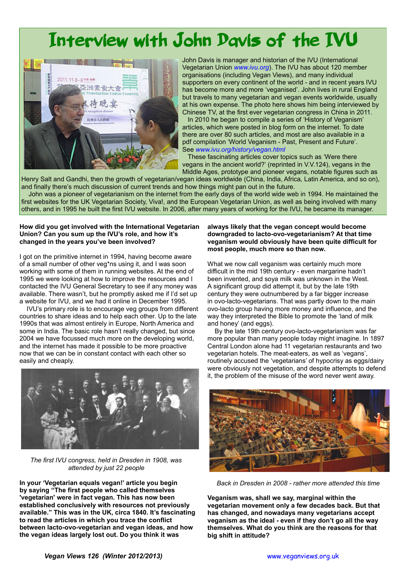## Interview with John Davis of the IVU



John Davis is manager and historian of the IVU (International Vegetarian Union *[www.ivu.org](http://www.ivu.org/)*). The IVU has about 120 member organisations (including Vegan Views), and many individual supporters on every continent of the world - and in recent years IVU has become more and more 'veganised'. John lives in rural England but travels to many vegetarian and vegan events worldwide, usually at his own expense. The photo here shows him being interviewed by Chinese TV, at the first ever vegetarian congress in China in 2011. In 2010 he began to compile a series of 'History of Veganism' articles, which were posted in blog form on the internet. To date there are over 80 such articles, and most are also available in a pdf compilation 'World Veganism - Past, Present and Future'. See *[www.ivu.org/history/vegan.html](http://www.ivu.org/history/vegan.html)*

These fascinating articles cover topics such as 'Were there vegans in the ancient world?' (reprinted in V.V.124), vegans in the Middle Ages, prototype and pioneer vegans, notable figures such as

Henry Salt and Gandhi, then the growth of vegetarian/vegan ideas worldwide (China, India, Africa, Latin America, and so on), and finally there's much discussion of current trends and how things might pan out in the future.

John was a pioneer of vegetarianism on the internet from the early days of the world wide web in 1994. He maintained the first websites for the UK Vegetarian Society, Viva!, and the European Vegetarian Union, as well as being involved with many others, and in 1995 he built the first IVU website. In 2006, after many years of working for the IVU, he became its manager.

## **How did you get involved with the International Vegetarian Union? Can you sum up the IVU's role, and how it's changed in the years you've been involved?**

I got on the primitive internet in 1994, having become aware of a small number of other veg\*ns using it, and I was soon working with some of them in running websites. At the end of 1995 we were looking at how to improve the resources and I contacted the IVU General Secretary to see if any money was available. There wasn't, but he promptly asked me if I'd set up a website for IVU, and we had it online in December 1995.

 IVU's primary role is to encourage veg groups from different countries to share ideas and to help each other. Up to the late 1990s that was almost entirely in Europe, North America and some in India. The basic role hasn't really changed, but since 2004 we have focussed much more on the developing world, and the internet has made it possible to be more proactive now that we can be in constant contact with each other so easily and cheaply.



 *The first IVU congress, held in Dresden in 1908, was attended by just 22 people*

**In your 'Vegetarian equals vegan!' article you begin by saying "The first people who called themselves 'vegetarian' were in fact vegan. This has now been established conclusively with resources not previously available." This was in the UK, circa 1840. It's fascinating to read the articles in which you trace the conflict between lacto-ovo-vegetarian and vegan ideas, and how the vegan ideas largely lost out. Do you think it was** 

## **always likely that the vegan concept would become downgraded to lacto-ovo-vegetarianism? At that time veganism would obviously have been quite difficult for most people, much more so than now.**

What we now call veganism was certainly much more difficult in the mid 19th century - even margarine hadn't been invented, and soya milk was unknown in the West. A significant group did attempt it, but by the late 19th century they were outnumbered by a far bigger increase in ovo-lacto-vegetarians. That was partly down to the main ovo-lacto group having more money and influence, and the way they interpreted the Bible to promote the 'land of milk and honey' (and eggs).

 By the late 19th century ovo-lacto-vegetarianism was far more popular than many people today might imagine. In 1897 Central London alone had 11 vegetarian restaurants and two vegetarian hotels. The meat-eaters, as well as 'vegans', routinely accused the 'vegetarians' of hypocrisy as eggs/dairy were obviously not vegetation, and despite attempts to defend it, the problem of the misuse of the word never went away.



*Back in Dresden in 2008 - rather more attended this time*

**Veganism was, shall we say, marginal within the vegetarian movement only a few decades back. But that has changed, and nowadays many vegetarians accept veganism as the ideal - even if they don't go all the way themselves. What do you think are the reasons for that big shift in attitude?**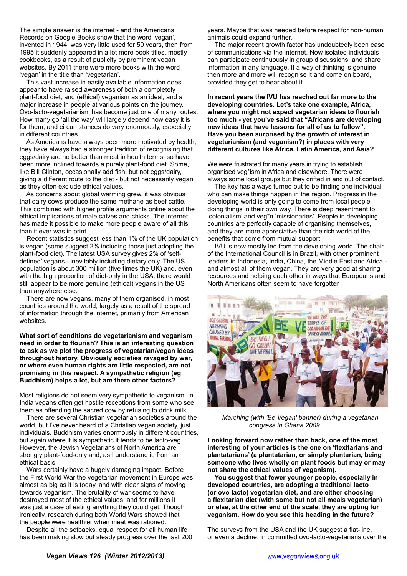The simple answer is the internet - and the Americans. Records on Google Books show that the word 'vegan', invented in 1944, was very little used for 50 years, then from 1995 it suddenly appeared in a lot more book titles, mostly cookbooks, as a result of publicity by prominent vegan websites. By 2011 there were more books with the word 'vegan' in the title than 'vegetarian'.

 This vast increase in easily available information does appear to have raised awareness of both a completely plant-food diet, and (ethical) veganism as an ideal, and a major increase in people at various points on the journey. Ovo-lacto-vegetarianism has become just one of many routes. How many go 'all the way' will largely depend how easy it is for them, and circumstances do vary enormously, especially in different countries.

 As Americans have always been more motivated by health, they have always had a stronger tradition of recognising that eggs/dairy are no better than meat in health terms, so have been more inclined towards a purely plant-food diet. Some, like Bill Clinton, occasionally add fish, but not eggs/dairy, giving a different route to the diet - but not necessarily vegan as they often exclude ethical values.

 As concerns about global warming grew, it was obvious that dairy cows produce the same methane as beef cattle. This combined with higher profile arguments online about the ethical implications of male calves and chicks. The internet has made it possible to make more people aware of all this than it ever was in print.

 Recent statistics suggest less than 1% of the UK population is vegan (some suggest 2% including those just adopting the plant-food diet). The latest USA survey gives 2% of 'selfdefined' vegans - inevitably including dietary only. The US population is about 300 million (five times the UK) and, even with the high proportion of diet-only in the USA, there would still appear to be more genuine (ethical) vegans in the US than anywhere else.

 There are now vegans, many of them organised, in most countries around the world, largely as a result of the spread of information through the internet, primarily from American websites.

**What sort of conditions do vegetarianism and veganism need in order to flourish? This is an interesting question to ask as we plot the progress of vegetarian/vegan ideas throughout history. Obviously societies ravaged by war, or where even human rights are little respected, are not promising in this respect. A sympathetic religion (eg Buddhism) helps a lot, but are there other factors?**

Most religions do not seem very sympathetic to veganism. In India vegans often get hostile receptions from some who see them as offending the sacred cow by refusing to drink milk.

 There are several Christian vegetarian societies around the world, but I've never heard of a Christian vegan society, just individuals. Buddhism varies enormously in different countries, but again where it is sympathetic it tends to be lacto-veg. However, the Jewish Vegetarians of North America are strongly plant-food-only and, as I understand it, from an ethical basis.

 Wars certainly have a hugely damaging impact. Before the First World War the vegetarian movement in Europe was almost as big as it is today, and with clear signs of moving towards veganism. The brutality of war seems to have destroyed most of the ethical values, and for millions it was just a case of eating anything they could get. Though ironically, research during both World Wars showed that the people were healthier when meat was rationed.

 Despite all the setbacks, equal respect for all human life has been making slow but steady progress over the last 200 years. Maybe that was needed before respect for non-human animals could expand further.

 The major recent growth factor has undoubtedly been ease of communications via the internet. Now isolated individuals can participate continuously in group discussions, and share information in any language. If a way of thinking is genuine then more and more will recognise it and come on board, provided they get to hear about it.

**In recent years the IVU has reached out far more to the developing countries. Let's take one example, Africa, where you might not expect vegetarian ideas to flourish too much - yet you've said that "Africans are developing new ideas that have lessons for all of us to follow". Have you been surprised by the growth of interest in vegetarianism (and veganism?) in places with very different cultures like Africa, Latin America, and Asia?**

We were frustrated for many years in trying to establish organised veg\*ism in Africa and elsewhere. There were always some local groups but they drifted in and out of contact.

 The key has always turned out to be finding one individual who can make things happen in the region. Progress in the developing world is only going to come from local people doing things in their own way. There is deep resentment to 'colonialism' and veg\*n 'missionaries'. People in developing countries are perfectly capable of organising themselves, and they are more appreciative than the rich world of the benefits that come from mutual support.

 IVU is now mostly led from the developing world. The chair of the International Council is in Brazil, with other prominent leaders in Indonesia, India, China, the Middle East and Africa and almost all of them vegan. They are very good at sharing resources and helping each other in ways that Europeans and North Americans often seem to have forgotten.



*Marching (with 'Be Vegan' banner) during a vegetarian congress in Ghana 2009*

**Looking forward now rather than back, one of the most interesting of your articles is the one on 'flexitarians and plantatarians' (a plantatarian, or simply plantarian, being someone who lives wholly on plant foods but may or may not share the ethical values of veganism).**

 **You suggest that fewer younger people, especially in developed countries, are adopting a traditional lacto (or ovo lacto) vegetarian diet, and are either choosing a flexitarian diet (with some but not all meals vegetarian) or else, at the other end of the scale, they are opting for veganism. How do you see this heading in the future?**

The surveys from the USA and the UK suggest a flat-line, or even a decline, in committed ovo-lacto-vegetarians over the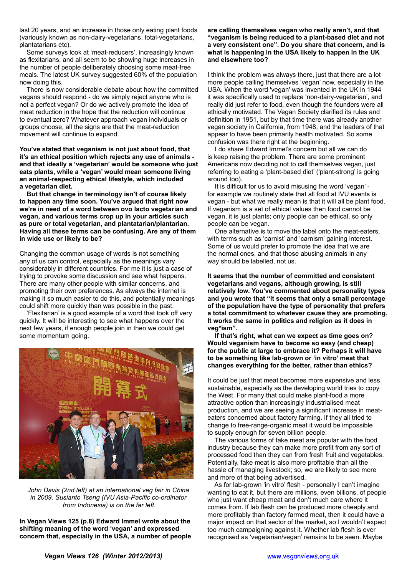last 20 years, and an increase in those only eating plant foods (variously known as non-dairy-vegetarians, total-vegetarians, plantatarians etc).

 Some surveys look at 'meat-reducers', increasingly known as flexitarians, and all seem to be showing huge increases in the number of people deliberately choosing some meat-free meals. The latest UK survey suggested 60% of the population now doing this.

 There is now considerable debate about how the committed vegans should respond - do we simply reject anyone who is not a perfect vegan? Or do we actively promote the idea of meat reduction in the hope that the reduction will continue to eventual zero? Whatever approach vegan individuals or groups choose, all the signs are that the meat-reduction movement will continue to expand.

**You've stated that veganism is not just about food, that it's an ethical position which rejects any use of animals and that ideally a 'vegetarian' would be someone who just eats plants, while a 'vegan' would mean someone living an animal-respecting ethical lifestyle, which included a vegetarian diet.**

 **But that change in terminology isn't of course likely to happen any time soon. You've argued that right now we're in need of a word between ovo lacto vegetarian and vegan, and various terms crop up in your articles such as pure or total vegetarian, and plantatarian/plantarian. Having all these terms can be confusing. Are any of them in wide use or likely to be?**

Changing the common usage of words is not something any of us can control, especially as the meanings vary considerably in different countries. For me it is just a case of trying to provoke some discussion and see what happens. There are many other people with similar concerns, and promoting their own preferences. As always the internet is making it so much easier to do this, and potentially meanings could shift more quickly than was possible in the past.

 'Flexitarian' is a good example of a word that took off very quickly. It will be interesting to see what happens over the next few years, if enough people join in then we could get some momentum going.



*John Davis (2nd left) at an international veg fair in China in 2009. Susianto Tseng (IVU Asia-Pacific co-ordinator from Indonesia) is on the far left.*

**In Vegan Views 125 (p.8) Edward Immel wrote about the shifting meaning of the word 'vegan' and expressed concern that, especially in the USA, a number of people**  **are calling themselves vegan who really aren't, and that "veganism is being reduced to a plant-based diet and not a very consistent one". Do you share that concern, and is what is happening in the USA likely to happen in the UK and elsewhere too?**

I think the problem was always there, just that there are a lot more people calling themselves 'vegan' now, especially in the USA. When the word 'vegan' was invented in the UK in 1944 it was specifically used to replace 'non-dairy-vegetarian', and really did just refer to food, even though the founders were all ethically motivated. The Vegan Society clarified its rules and definition in 1951, but by that time there was already another vegan society in California, from 1948, and the leaders of that appear to have been primarily health motivated. So some confusion was there right at the beginning.

 I do share Edward Immel's concern but all we can do is keep raising the problem. There are some prominent Americans now deciding not to call themselves vegan, just referring to eating a 'plant-based diet' ('plant-strong' is going around too).

 It is difficult for us to avoid misusing the word 'vegan' for example we routinely state that all food at IVU events is vegan - but what we really mean is that it will all be plant food. If veganism is a set of ethical values then food cannot be vegan, it is just plants; only people can be ethical, so only people can be vegan.

 One alternative is to move the label onto the meat-eaters, with terms such as 'carnist' and 'carnism' gaining interest. Some of us would prefer to promote the idea that we are the normal ones, and that those abusing animals in any way should be labelled, not us.

**It seems that the number of committed and consistent vegetarians and vegans, although growing, is still relatively low. You've commented about personality types and you wrote that "It seems that only a small percentage of the population have the type of personality that prefers a total commitment to whatever cause they are promoting. It works the same in politics and religion as it does in veg\*ism".**

 **If that's right, what can we expect as time goes on? Would veganism have to become so easy (and cheap) for the public at large to embrace it? Perhaps it will have to be something like lab-grown or 'in vitro' meat that changes everything for the better, rather than ethics?**

It could be just that meat becomes more expensive and less sustainable, especially as the developing world tries to copy the West. For many that could make plant-food a more attractive option than increasingly industrialised meat production, and we are seeing a significant increase in meateaters concerned about factory farming. If they all tried to change to free-range-organic meat it would be impossible to supply enough for seven billion people.

 The various forms of fake meat are popular with the food industry because they can make more profit from any sort of processed food than they can from fresh fruit and vegetables. Potentially, fake meat is also more profitable than all the hassle of managing livestock; so, we are likely to see more and more of that being advertised.

 As for lab-grown 'in vitro' flesh - personally I can't imagine wanting to eat it, but there are millions, even billions, of people who just want cheap meat and don't much care where it comes from. If lab flesh can be produced more cheaply and more profitably than factory farmed meat, then it could have a major impact on that sector of the market, so I wouldn't expect too much campaigning against it. Whether lab flesh is ever recognised as 'vegetarian/vegan' remains to be seen. Maybe